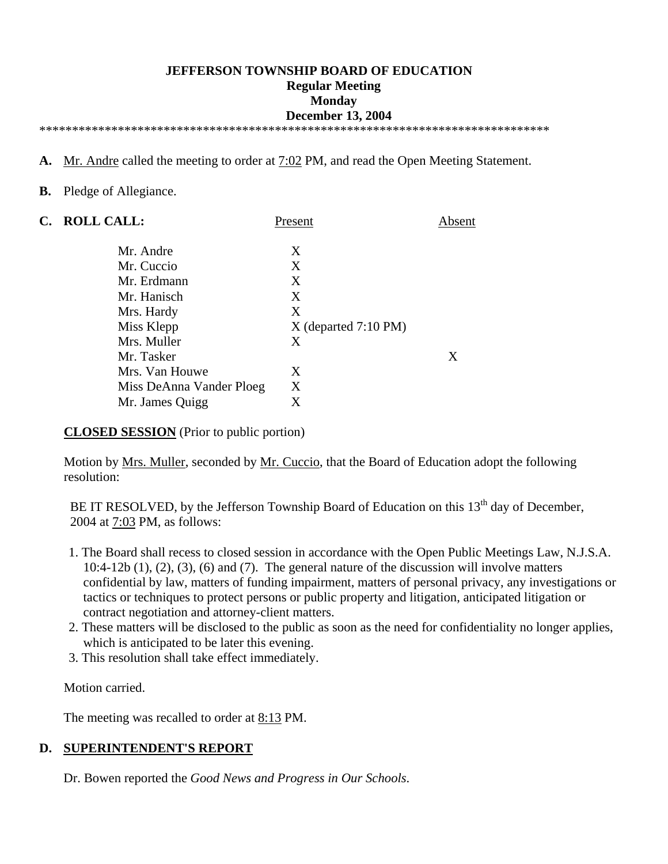#### **JEFFERSON TOWNSHIP BOARD OF EDUCATION Regular Meeting Monday December 13, 2004**  \*\*\*\*\*\*\*\*\*\*\*\*\*\*\*\*\*\*\*\*\*\*\*\*\*\*\*\*\*\*\*\*\*\*\*\*\*\*\*\*\*\*\*\*\*\*\*\*\*\*\*\*\*\*\*\*\*\*\*\*\*\*\*\*\*\*\*\*\*\*\*\*\*\*\*\*\*\*

- **A.** Mr. Andre called the meeting to order at 7:02 PM, and read the Open Meeting Statement.
- **B.** Pledge of Allegiance.

| C. | <b>ROLL CALL:</b>        | Present                | Absent |
|----|--------------------------|------------------------|--------|
|    | Mr. Andre                | X                      |        |
|    | Mr. Cuccio               | X                      |        |
|    | Mr. Erdmann              | X                      |        |
|    | Mr. Hanisch              | X                      |        |
|    | Mrs. Hardy               | X                      |        |
|    | Miss Klepp               | $X$ (departed 7:10 PM) |        |
|    | Mrs. Muller              | X                      |        |
|    | Mr. Tasker               |                        | X      |
|    | Mrs. Van Houwe           | X                      |        |
|    | Miss DeAnna Vander Ploeg | X                      |        |
|    | Mr. James Quigg          | X                      |        |

**CLOSED SESSION** (Prior to public portion)

Motion by <u>Mrs. Muller</u>, seconded by <u>Mr. Cuccio</u>, that the Board of Education adopt the following resolution:

BE IT RESOLVED, by the Jefferson Township Board of Education on this  $13<sup>th</sup>$  day of December, 2004 at 7:03 PM, as follows:

- 1. The Board shall recess to closed session in accordance with the Open Public Meetings Law, N.J.S.A. 10:4-12b (1), (2), (3), (6) and (7). The general nature of the discussion will involve matters confidential by law, matters of funding impairment, matters of personal privacy, any investigations or tactics or techniques to protect persons or public property and litigation, anticipated litigation or contract negotiation and attorney-client matters.
- 2. These matters will be disclosed to the public as soon as the need for confidentiality no longer applies, which is anticipated to be later this evening.
- 3. This resolution shall take effect immediately.

Motion carried.

The meeting was recalled to order at <u>8:13</u> PM.

## **D. SUPERINTENDENT'S REPORT**

Dr. Bowen reported the *Good News and Progress in Our Schools*.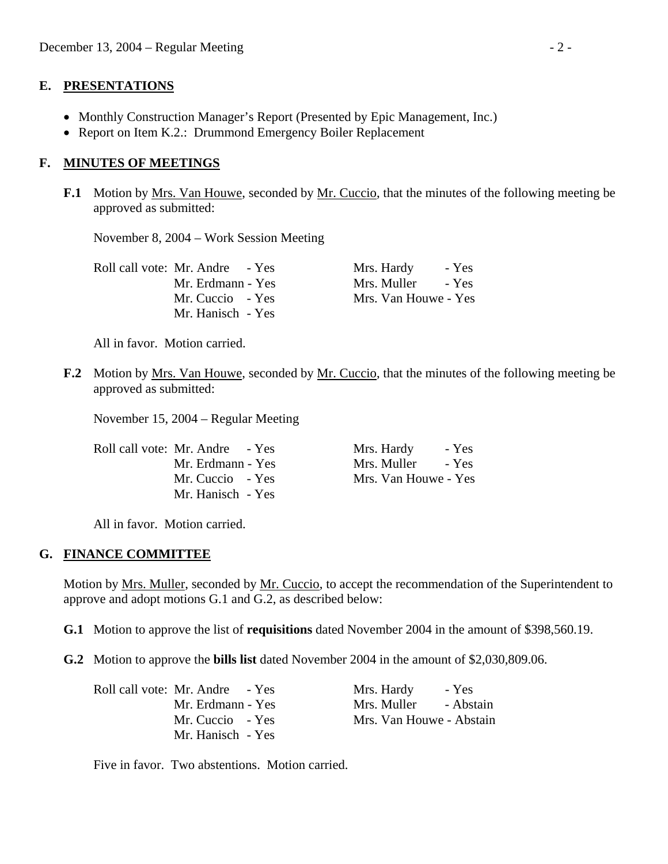### **E. PRESENTATIONS**

- Monthly Construction Manager's Report (Presented by Epic Management, Inc.)
- Report on Item K.2.: Drummond Emergency Boiler Replacement

## **F. MINUTES OF MEETINGS**

**F.1** Motion by Mrs. Van Houwe, seconded by Mr. Cuccio, that the minutes of the following meeting be approved as submitted:

November 8, 2004 – Work Session Meeting

| Roll call vote: Mr. Andre - Yes | Mrs. Hardy           | - Yes |
|---------------------------------|----------------------|-------|
| Mr. Erdmann - Yes               | Mrs. Muller          | - Yes |
| Mr. Cuccio - Yes                | Mrs. Van Houwe - Yes |       |
| Mr. Hanisch - Yes               |                      |       |

All in favor. Motion carried.

**F.2** Motion by Mrs. Van Houwe, seconded by Mr. Cuccio, that the minutes of the following meeting be approved as submitted:

November 15, 2004 – Regular Meeting

| Roll call vote: Mr. Andre - Yes | Mrs. Hardy<br>- Yes  |
|---------------------------------|----------------------|
| Mr. Erdmann - Yes               | Mrs. Muller<br>- Yes |
| Mr. Cuccio - Yes                | Mrs. Van Houwe - Yes |
| Mr. Hanisch - Yes               |                      |

All in favor. Motion carried.

## **G. FINANCE COMMITTEE**

 Motion by Mrs. Muller, seconded by Mr. Cuccio, to accept the recommendation of the Superintendent to approve and adopt motions G.1 and G.2, as described below:

 **G.1** Motion to approve the list of **requisitions** dated November 2004 in the amount of \$398,560.19.

**G.2** Motion to approve the **bills list** dated November 2004 in the amount of \$2,030,809.06.

| Roll call vote: Mr. Andre - Yes | Mrs. Hardy<br>- Yes      |
|---------------------------------|--------------------------|
| Mr. Erdmann - Yes               | - Abstain<br>Mrs. Muller |
| Mr. Cuccio - Yes                | Mrs. Van Houwe - Abstain |
| Mr. Hanisch - Yes               |                          |

Five in favor. Two abstentions. Motion carried.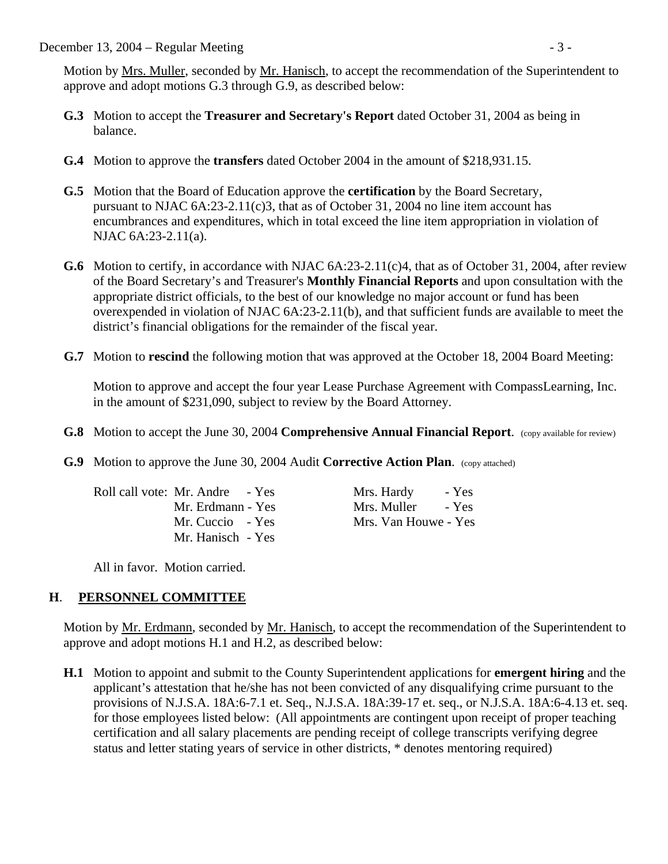December 13, 2004 – Regular Meeting - 3 -

 Motion by Mrs. Muller, seconded by Mr. Hanisch, to accept the recommendation of the Superintendent to approve and adopt motions G.3 through G.9, as described below:

- **G.3** Motion to accept the **Treasurer and Secretary's Report** dated October 31, 2004 as being in balance.
- **G.4** Motion to approve the **transfers** dated October 2004 in the amount of \$218,931.15.
- **G.5** Motion that the Board of Education approve the **certification** by the Board Secretary, pursuant to NJAC 6A:23-2.11(c)3, that as of October 31, 2004 no line item account has encumbrances and expenditures, which in total exceed the line item appropriation in violation of NJAC 6A:23-2.11(a).
- **G.6** Motion to certify, in accordance with NJAC 6A:23-2.11(c)4, that as of October 31, 2004, after review of the Board Secretary's and Treasurer's **Monthly Financial Reports** and upon consultation with the appropriate district officials, to the best of our knowledge no major account or fund has been overexpended in violation of NJAC 6A:23-2.11(b), and that sufficient funds are available to meet the district's financial obligations for the remainder of the fiscal year.
- **G.7** Motion to **rescind** the following motion that was approved at the October 18, 2004 Board Meeting:

 Motion to approve and accept the four year Lease Purchase Agreement with CompassLearning, Inc. in the amount of \$231,090, subject to review by the Board Attorney.

- **G.8** Motion to accept the June 30, 2004 **Comprehensive Annual Financial Report**. (copy available for review)
- **G.9** Motion to approve the June 30, 2004 Audit **Corrective Action Plan.** (copy attached)

Roll call vote: Mr. Andre - Yes Mrs. Hardy - Yes Mr. Hanisch - Yes

Mr. Erdmann - Yes Mrs. Muller - Yes Mr. Cuccio - Yes Mrs. Van Houwe - Yes

All in favor. Motion carried.

# **H**. **PERSONNEL COMMITTEE**

Motion by Mr. Erdmann, seconded by Mr. Hanisch, to accept the recommendation of the Superintendent to approve and adopt motions H.1 and H.2, as described below:

 **H.1** Motion to appoint and submit to the County Superintendent applications for **emergent hiring** and the applicant's attestation that he/she has not been convicted of any disqualifying crime pursuant to the provisions of N.J.S.A. 18A:6-7.1 et. Seq., N.J.S.A. 18A:39-17 et. seq., or N.J.S.A. 18A:6-4.13 et. seq. for those employees listed below: (All appointments are contingent upon receipt of proper teaching certification and all salary placements are pending receipt of college transcripts verifying degree status and letter stating years of service in other districts, \* denotes mentoring required)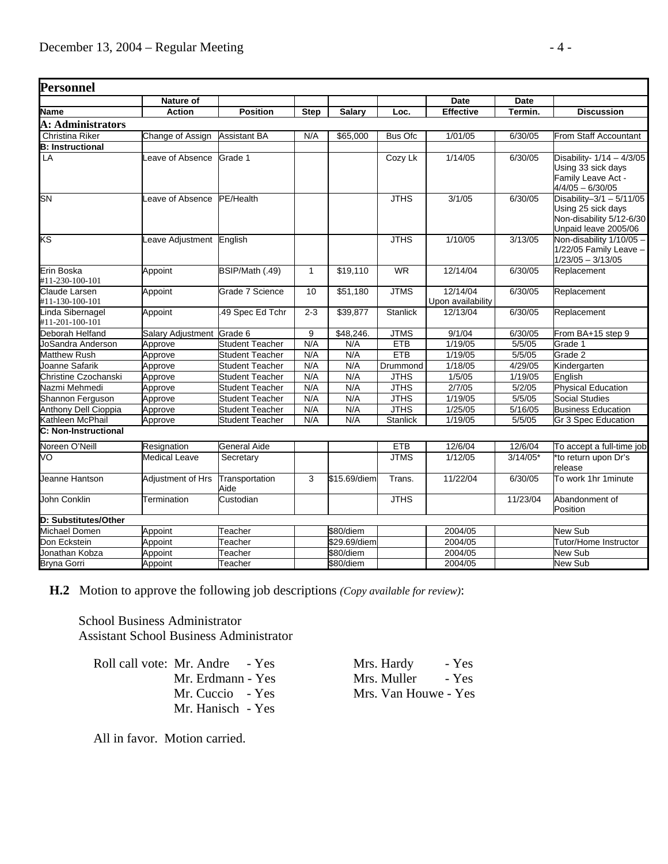| Personnel                           |                           |                        |                 |              |                 |                               |            |                                                                                                      |
|-------------------------------------|---------------------------|------------------------|-----------------|--------------|-----------------|-------------------------------|------------|------------------------------------------------------------------------------------------------------|
|                                     | <b>Nature of</b>          |                        |                 |              |                 | Date                          | Date       |                                                                                                      |
| Name                                | <b>Action</b>             | <b>Position</b>        | <b>Step</b>     | Salary       | Loc.            | <b>Effective</b>              | Termin.    | <b>Discussion</b>                                                                                    |
| A: Administrators                   |                           |                        |                 |              |                 |                               |            |                                                                                                      |
| Christina Riker                     | Change of Assign          | <b>Assistant BA</b>    | N/A             | \$65,000     | <b>Bus Ofc</b>  | 1/01/05                       | 6/30/05    | From Staff Accountant                                                                                |
| <b>B: Instructional</b>             |                           |                        |                 |              |                 |                               |            |                                                                                                      |
| LA                                  | eave of Absence           | Grade 1                |                 |              | Cozy Lk         | 1/14/05                       | 6/30/05    | Disability- $1/14 - 4/3/05$<br>Using 33 sick days<br>Family Leave Act -<br>$4/4/05 - 6/30/05$        |
| <b>SN</b>                           | Leave of Absence          | PE/Health              |                 |              | <b>JTHS</b>     | 3/1/05                        | 6/30/05    | Disability-3/1 - $5/11/05$<br>Using 25 sick days<br>Non-disability 5/12-6/30<br>Unpaid leave 2005/06 |
| KS                                  | Leave Adjustment          | English                |                 |              | <b>JTHS</b>     | 1/10/05                       | 3/13/05    | Non-disability 1/10/05 -<br>$1/22/05$ Family Leave -<br>$1/23/05 - 3/13/05$                          |
| Erin Boska<br>#11-230-100-101       | Appoint                   | BSIP/Math (.49)        | $\mathbf{1}$    | \$19,110     | <b>WR</b>       | 12/14/04                      | 6/30/05    | Replacement                                                                                          |
| Claude Larsen<br>#11-130-100-101    | Appoint                   | Grade 7 Science        | $\overline{10}$ | \$51,180     | <b>JTMS</b>     | 12/14/04<br>Upon availability | 6/30/05    | Replacement                                                                                          |
| Linda Sibernagel<br>#11-201-100-101 | Appoint                   | .49 Spec Ed Tchr       | $2 - 3$         | \$39,877     | <b>Stanlick</b> | 12/13/04                      | 6/30/05    | Replacement                                                                                          |
| Deborah Helfand                     | Salary Adjustment Grade 6 |                        | 9               | \$48,246.    | <b>JTMS</b>     | 9/1/04                        | 6/30/05    | From BA+15 step 9                                                                                    |
| JoSandra Anderson                   | Approve                   | <b>Student Teacher</b> | N/A             | N/A          | <b>ETB</b>      | 1/19/05                       | 5/5/05     | Grade 1                                                                                              |
| <b>Matthew Rush</b>                 | Approve                   | <b>Student Teacher</b> | N/A             | N/A          | <b>ETB</b>      | 1/19/05                       | 5/5/05     | Grade 2                                                                                              |
| Joanne Safarik                      | Approve                   | <b>Student Teacher</b> | N/A             | N/A          | Drummond        | 1/18/05                       | 4/29/05    | Kindergarten                                                                                         |
| <b>Christine Czochanski</b>         | Approve                   | <b>Student Teacher</b> | N/A             | N/A          | <b>JTHS</b>     | 1/5/05                        | 1/19/05    | English                                                                                              |
| Nazmi Mehmedi                       | Approve                   | <b>Student Teacher</b> | N/A             | N/A          | <b>JTHS</b>     | 2/7/05                        | 5/2/05     | <b>Physical Education</b>                                                                            |
| Shannon Ferguson                    | Approve                   | <b>Student Teacher</b> | N/A             | N/A          | <b>JTHS</b>     | 1/19/05                       | 5/5/05     | Social Studies                                                                                       |
| Anthony Dell Cioppia                | Approve                   | <b>Student Teacher</b> | N/A             | N/A          | <b>JTHS</b>     | 1/25/05                       | 5/16/05    | <b>Business Education</b>                                                                            |
| Kathleen McPhail                    | Approve                   | <b>Student Teacher</b> | N/A             | N/A          | <b>Stanlick</b> | 1/19/05                       | 5/5/05     | <b>Gr 3 Spec Education</b>                                                                           |
| C: Non-Instructional                |                           |                        |                 |              |                 |                               |            |                                                                                                      |
| Noreen O'Neill                      | Resignation               | <b>General Aide</b>    |                 |              | <b>ETB</b>      | 12/6/04                       | 12/6/04    | To accept a full-time job                                                                            |
| VO                                  | Medical Leave             | Secretary              |                 |              | <b>JTMS</b>     | 1/12/05                       | $3/14/05*$ | *to return upon Dr's<br>release                                                                      |
| Jeanne Hantson                      | Adjustment of Hrs         | Transportation<br>Aide | 3               | \$15.69/diem | Trans.          | 11/22/04                      | 6/30/05    | To work 1hr 1 minute                                                                                 |
| John Conklin                        | Termination               | Custodian              |                 |              | <b>JTHS</b>     |                               | 11/23/04   | Abandonment of<br>Position                                                                           |
| D: Substitutes/Other                |                           |                        |                 |              |                 |                               |            |                                                                                                      |
| Michael Domen                       | Appoint                   | Teacher                |                 | \$80/diem    |                 | 2004/05                       |            | New Sub                                                                                              |
| Don Eckstein                        | Appoint                   | Teacher                |                 | \$29.69/diem |                 | 2004/05                       |            | Tutor/Home Instructor                                                                                |
| Jonathan Kobza                      | Appoint                   | Teacher                |                 | \$80/diem    |                 | 2004/05                       |            | <b>New Sub</b>                                                                                       |
| Bryna Gorri                         | Appoint                   | Teacher                |                 | \$80/diem    |                 | 2004/05                       |            | <b>New Sub</b>                                                                                       |

 **H.2** Motion to approve the following job descriptions *(Copy available for review)*:

 School Business Administrator Assistant School Business Administrator

Roll call vote: Mr. Andre - Yes Mrs. Hardy - Yes Mr. Hanisch - Yes

Mr. Erdmann - Yes Mrs. Muller - Yes Mr. Cuccio - Yes Mrs. Van Houwe - Yes

All in favor. Motion carried.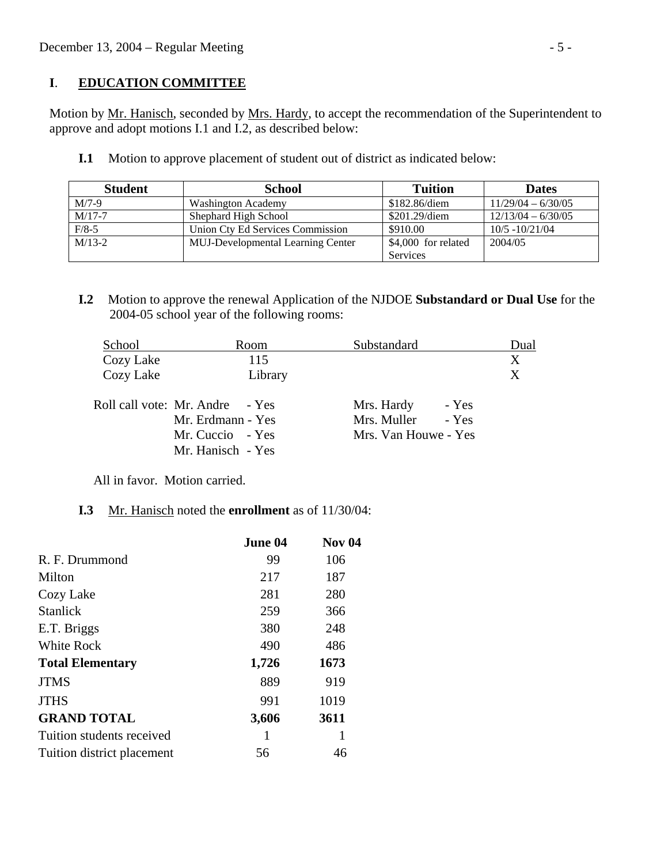## **I**. **EDUCATION COMMITTEE**

 Motion by Mr. Hanisch, seconded by Mrs. Hardy, to accept the recommendation of the Superintendent to approve and adopt motions I.1 and I.2, as described below:

**I.1** Motion to approve placement of student out of district as indicated below:

| <b>Student</b>                                       | <b>School</b>                    | <b>Tuition</b>      | <b>Dates</b>         |
|------------------------------------------------------|----------------------------------|---------------------|----------------------|
| $M/7-9$                                              | Washington Academy               | \$182.86/diem       | $11/29/04 - 6/30/05$ |
| $M/17-7$                                             | Shephard High School             | $$201.29$ /diem     | $12/13/04 - 6/30/05$ |
| $F/8-5$                                              | Union Cty Ed Services Commission | \$910.00            | $10/5 - 10/21/04$    |
| $M/13-2$<br><b>MUJ-Developmental Learning Center</b> |                                  | \$4,000 for related | 2004/05              |
|                                                      |                                  | <b>Services</b>     |                      |

 **I.2** Motion to approve the renewal Application of the NJDOE **Substandard or Dual Use** for the 2004-05 school year of the following rooms:

| School                          |                   | Room    | Substandard          |       | Dual |
|---------------------------------|-------------------|---------|----------------------|-------|------|
| Cozy Lake                       |                   | 115     |                      |       | X    |
| Cozy Lake                       |                   | Library |                      |       | X    |
| Roll call vote: Mr. Andre - Yes |                   |         | Mrs. Hardy           | - Yes |      |
|                                 | Mr. Erdmann - Yes |         | Mrs. Muller          | - Yes |      |
|                                 | Mr. Cuccio - Yes  |         | Mrs. Van Houwe - Yes |       |      |
|                                 | Mr. Hanisch - Yes |         |                      |       |      |

All in favor. Motion carried.

## **I.3** Mr. Hanisch noted the **enrollment** as of 11/30/04:

|                            | June 04 | <b>Nov 04</b> |
|----------------------------|---------|---------------|
| R. F. Drummond             | 99      | 106           |
| Milton                     | 217     | 187           |
| Cozy Lake                  | 281     | 280           |
| <b>Stanlick</b>            | 259     | 366           |
| E.T. Briggs                | 380     | 248           |
| <b>White Rock</b>          | 490     | 486           |
| <b>Total Elementary</b>    | 1,726   | 1673          |
| <b>JTMS</b>                | 889     | 919           |
| <b>JTHS</b>                | 991     | 1019          |
| <b>GRAND TOTAL</b>         | 3,606   | 3611          |
| Tuition students received  | 1       | 1             |
| Tuition district placement | 56      | 46            |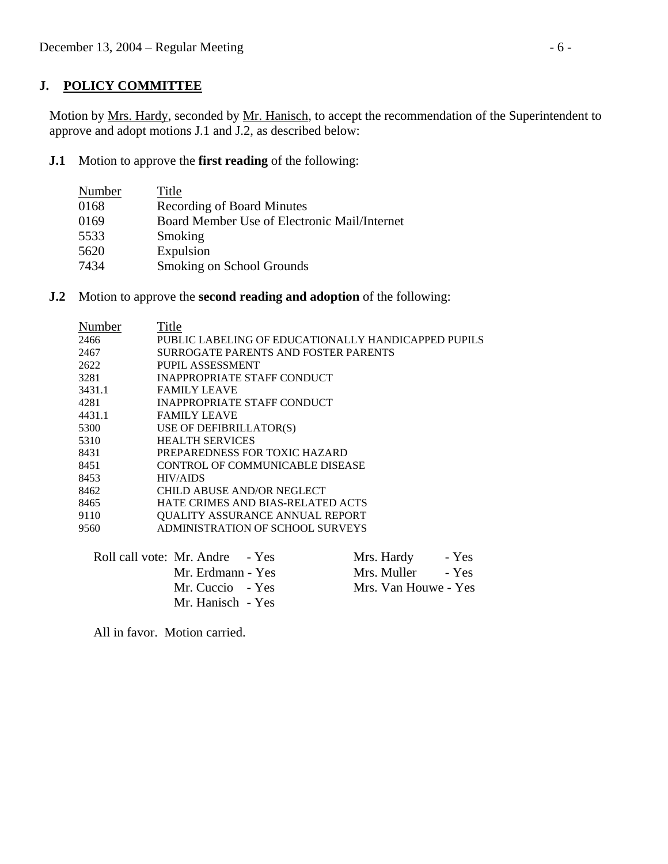# **J. POLICY COMMITTEE**

Motion by Mrs. Hardy, seconded by Mr. Hanisch, to accept the recommendation of the Superintendent to approve and adopt motions J.1 and J.2, as described below:

**J.1** Motion to approve the **first reading** of the following:

| Number | Title                                        |
|--------|----------------------------------------------|
| 0168   | <b>Recording of Board Minutes</b>            |
| 0169   | Board Member Use of Electronic Mail/Internet |
| 5533   | Smoking                                      |
| 5620   | Expulsion                                    |
| 7434   | Smoking on School Grounds                    |
|        |                                              |

**J.2** Motion to approve the **second reading and adoption** of the following:

| Number | Title                                               |
|--------|-----------------------------------------------------|
| 2466   | PUBLIC LABELING OF EDUCATIONALLY HANDICAPPED PUPILS |
| 2467   | SURROGATE PARENTS AND FOSTER PARENTS                |
| 2622   | PUPIL ASSESSMENT                                    |
| 3281   | <b>INAPPROPRIATE STAFF CONDUCT</b>                  |
| 3431.1 | <b>FAMILY LEAVE</b>                                 |
| 4281   | INAPPROPRIATE STAFF CONDUCT                         |
| 4431.1 | <b>FAMILY LEAVE</b>                                 |
| 5300   | USE OF DEFIBRILLATOR(S)                             |
| 5310   | <b>HEALTH SERVICES</b>                              |
| 8431   | PREPAREDNESS FOR TOXIC HAZARD                       |
| 8451   | CONTROL OF COMMUNICABLE DISEASE                     |
| 8453   | <b>HIV/AIDS</b>                                     |
| 8462   | CHILD ABUSE AND/OR NEGLECT                          |
| 8465   | HATE CRIMES AND BIAS-RELATED ACTS                   |
| 9110   | QUALITY ASSURANCE ANNUAL REPORT                     |
| 9560   | ADMINISTRATION OF SCHOOL SURVEYS                    |
|        |                                                     |

| Roll call vote: Mr. Andre - Yes | Mrs. Hardy           | - Yes |
|---------------------------------|----------------------|-------|
| Mr. Erdmann - Yes               | Mrs. Muller          | - Yes |
| Mr. Cuccio - Yes                | Mrs. Van Houwe - Yes |       |
| Mr. Hanisch - Yes               |                      |       |

All in favor. Motion carried.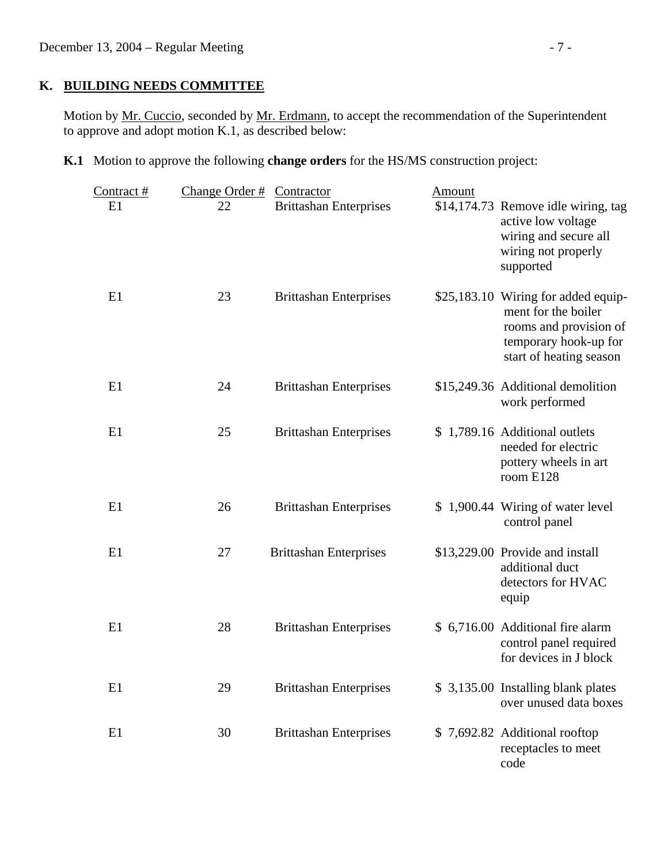# **K. BUILDING NEEDS COMMITTEE**

Motion by Mr. Cuccio, seconded by Mr. Erdmann, to accept the recommendation of the Superintendent to approve and adopt motion K.1, as described below:

**K.1** Motion to approve the following **change orders** for the HS/MS construction project:

| Contract# | Change Order $#$ | Contractor                    | Amount |                                                                                                                                          |
|-----------|------------------|-------------------------------|--------|------------------------------------------------------------------------------------------------------------------------------------------|
| E1        | 22               | <b>Brittashan Enterprises</b> |        | \$14,174.73 Remove idle wiring, tag<br>active low voltage<br>wiring and secure all<br>wiring not properly<br>supported                   |
| E1        | 23               | <b>Brittashan Enterprises</b> |        | \$25,183.10 Wiring for added equip-<br>ment for the boiler<br>rooms and provision of<br>temporary hook-up for<br>start of heating season |
| E1        | 24               | <b>Brittashan Enterprises</b> |        | \$15,249.36 Additional demolition<br>work performed                                                                                      |
| E1        | 25               | <b>Brittashan Enterprises</b> |        | \$1,789.16 Additional outlets<br>needed for electric<br>pottery wheels in art<br>room E128                                               |
| E1        | 26               | <b>Brittashan Enterprises</b> |        | \$1,900.44 Wiring of water level<br>control panel                                                                                        |
| E1        | 27               | <b>Brittashan Enterprises</b> |        | \$13,229.00 Provide and install<br>additional duct<br>detectors for HVAC<br>equip                                                        |
| E1        | 28               | <b>Brittashan Enterprises</b> |        | \$ 6,716.00 Additional fire alarm<br>control panel required<br>for devices in J block                                                    |
| E1        | 29               | <b>Brittashan Enterprises</b> |        | \$3,135.00 Installing blank plates<br>over unused data boxes                                                                             |
| E1        | 30               | <b>Brittashan Enterprises</b> |        | \$7,692.82 Additional rooftop<br>receptacles to meet<br>code                                                                             |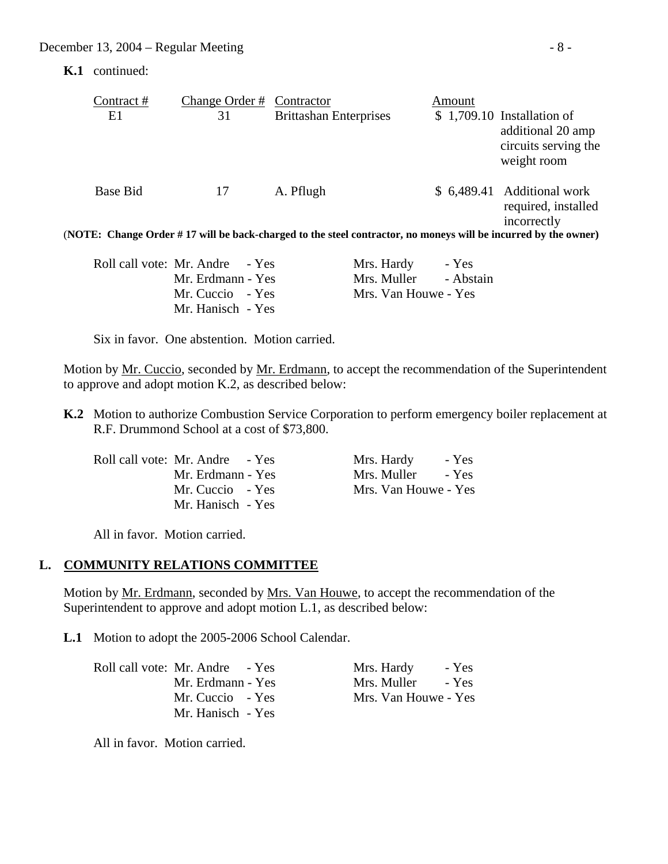**K.1** continued:

| Contract #                                                                                                     | Change Order # | Contractor                    | Amount |                                                                                         |  |  |
|----------------------------------------------------------------------------------------------------------------|----------------|-------------------------------|--------|-----------------------------------------------------------------------------------------|--|--|
| E1                                                                                                             | 31             | <b>Brittashan Enterprises</b> |        | $$1,709.10$ Installation of<br>additional 20 amp<br>circuits serving the<br>weight room |  |  |
| Base Bid                                                                                                       | 17             | A. Pflugh                     |        | \$ 6,489.41 Additional work<br>required, installed<br>incorrectly                       |  |  |
| (NOTE: Change Order #17 will be back-charged to the steel contractor, no moneys will be incurred by the owner) |                |                               |        |                                                                                         |  |  |
|                                                                                                                |                |                               |        |                                                                                         |  |  |

| Roll call vote: Mr. Andre - Yes | Mrs. Hardy - Yes      |  |
|---------------------------------|-----------------------|--|
| Mr. Erdmann - Yes               | Mrs. Muller - Abstain |  |
| Mr. Cuccio - Yes                | Mrs. Van Houwe - Yes  |  |
| Mr. Hanisch - Yes               |                       |  |

Six in favor. One abstention. Motion carried.

Motion by Mr. Cuccio, seconded by Mr. Erdmann, to accept the recommendation of the Superintendent to approve and adopt motion K.2, as described below:

 **K.2** Motion to authorize Combustion Service Corporation to perform emergency boiler replacement at R.F. Drummond School at a cost of \$73,800.

| Roll call vote: Mr. Andre - Yes | Mrs. Hardy<br>- Yes  |
|---------------------------------|----------------------|
| Mr. Erdmann - Yes               | Mrs. Muller<br>- Yes |
| Mr. Cuccio - Yes                | Mrs. Van Houwe - Yes |
| Mr. Hanisch - Yes               |                      |

| Mrs. Hardy           | - Yes |
|----------------------|-------|
| Mrs. Muller          | - Yes |
| Mrs. Van Houwe - Yes |       |

All in favor. Motion carried.

## **L. COMMUNITY RELATIONS COMMITTEE**

Motion by <u>Mr. Erdmann</u>, seconded by <u>Mrs. Van Houwe</u>, to accept the recommendation of the Superintendent to approve and adopt motion L.1, as described below:

**L.1** Motion to adopt the 2005-2006 School Calendar.

| Roll call vote: Mr. Andre - Yes | Mrs. Hardy<br>- Yes  |
|---------------------------------|----------------------|
| Mr. Erdmann - Yes               | Mrs. Muller<br>- Yes |
| Mr. Cuccio - Yes                | Mrs. Van Houwe - Yes |
| Mr. Hanisch - Yes               |                      |

All in favor. Motion carried.